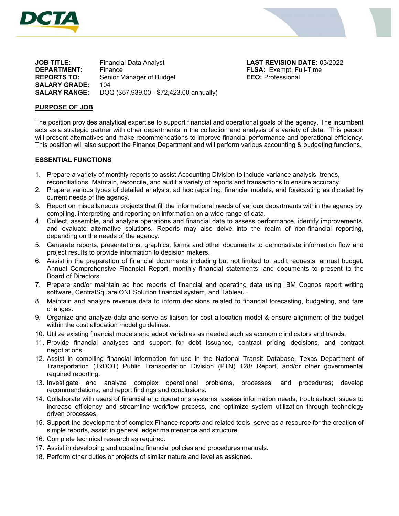



**JOB TITLE:** Financial Data Analyst **LAST REVISION DATE:** 03/2022 **DEPARTMENT:** Finance **FLSA:** Exempt, Full-Time **REPORTS TO:** Senior Manager of Budget **EEO:** Professional **SALARY GRADE:** 104 **SALARY RANGE:** DOQ (\$57,939.00 - \$72,423.00 annually)

#### **PURPOSE OF JOB**

The position provides analytical expertise to support financial and operational goals of the agency. The incumbent acts as a strategic partner with other departments in the collection and analysis of a variety of data. This person will present alternatives and make recommendations to improve financial performance and operational efficiency. This position will also support the Finance Department and will perform various accounting & budgeting functions.

#### **ESSENTIAL FUNCTIONS**

- 1. Prepare a variety of monthly reports to assist Accounting Division to include variance analysis, trends, reconciliations. Maintain, reconcile, and audit a variety of reports and transactions to ensure accuracy.
- 2. Prepare various types of detailed analysis, ad hoc reporting, financial models, and forecasting as dictated by current needs of the agency.
- 3. Report on miscellaneous projects that fill the informational needs of various departments within the agency by compiling, interpreting and reporting on information on a wide range of data.
- 4. Collect, assemble, and analyze operations and financial data to assess performance, identify improvements, and evaluate alternative solutions. Reports may also delve into the realm of non-financial reporting, depending on the needs of the agency.
- 5. Generate reports, presentations, graphics, forms and other documents to demonstrate information flow and project results to provide information to decision makers.
- 6. Assist in the preparation of financial documents including but not limited to: audit requests, annual budget, Annual Comprehensive Financial Report, monthly financial statements, and documents to present to the Board of Directors.
- 7. Prepare and/or maintain ad hoc reports of financial and operating data using IBM Cognos report writing software, CentralSquare ONESolution financial system, and Tableau.
- 8. Maintain and analyze revenue data to inform decisions related to financial forecasting, budgeting, and fare changes.
- 9. Organize and analyze data and serve as liaison for cost allocation model & ensure alignment of the budget within the cost allocation model guidelines.
- 10. Utilize existing financial models and adapt variables as needed such as economic indicators and trends.
- 11. Provide financial analyses and support for debt issuance, contract pricing decisions, and contract negotiations.
- 12. Assist in compiling financial information for use in the National Transit Database, Texas Department of Transportation (TxDOT) Public Transportation Division (PTN) 128/ Report, and/or other governmental required reporting.
- 13. Investigate and analyze complex operational problems, processes, and procedures; develop recommendations; and report findings and conclusions.
- 14. Collaborate with users of financial and operations systems, assess information needs, troubleshoot issues to increase efficiency and streamline workflow process, and optimize system utilization through technology driven processes.
- 15. Support the development of complex Finance reports and related tools, serve as a resource for the creation of simple reports, assist in general ledger maintenance and structure.
- 16. Complete technical research as required.
- 17. Assist in developing and updating financial policies and procedures manuals.
- 18. Perform other duties or projects of similar nature and level as assigned.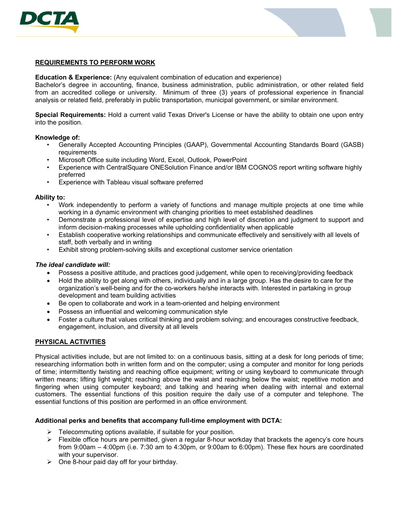



## **REQUIREMENTS TO PERFORM WORK**

**Education & Experience:** (Any equivalent combination of education and experience)

Bachelor's degree in accounting, finance, business administration, public administration, or other related field from an accredited college or university. Minimum of three (3) years of professional experience in financial analysis or related field, preferably in public transportation, municipal government, or similar environment.

**Special Requirements:** Hold a current valid Texas Driver's License or have the ability to obtain one upon entry into the position.

### **Knowledge of:**

- Generally Accepted Accounting Principles (GAAP), Governmental Accounting Standards Board (GASB) requirements
- Microsoft Office suite including Word, Excel, Outlook, PowerPoint
- Experience with CentralSquare ONESolution Finance and/or IBM COGNOS report writing software highly preferred
- Experience with Tableau visual software preferred

## **Ability to:**

- Work independently to perform a variety of functions and manage multiple projects at one time while working in a dynamic environment with changing priorities to meet established deadlines
- Demonstrate a professional level of expertise and high level of discretion and judgment to support and inform decision-making processes while upholding confidentiality when applicable
- Establish cooperative working relationships and communicate effectively and sensitively with all levels of staff, both verbally and in writing
- Exhibit strong problem-solving skills and exceptional customer service orientation

### *The ideal candidate will:*

- Possess a positive attitude, and practices good judgement, while open to receiving/providing feedback
- Hold the ability to get along with others, individually and in a large group. Has the desire to care for the organization's well-being and for the co-workers he/she interacts with. Interested in partaking in group development and team building activities
- Be open to collaborate and work in a team-oriented and helping environment
- Possess an influential and welcoming communication style
- Foster a culture that values critical thinking and problem solving; and encourages constructive feedback, engagement, inclusion, and diversity at all levels

# **PHYSICAL ACTIVITIES**

Physical activities include, but are not limited to: on a continuous basis, sitting at a desk for long periods of time; researching information both in written form and on the computer; using a computer and monitor for long periods of time; intermittently twisting and reaching office equipment; writing or using keyboard to communicate through written means; lifting light weight; reaching above the waist and reaching below the waist; repetitive motion and fingering when using computer keyboard; and talking and hearing when dealing with internal and external customers. The essential functions of this position require the daily use of a computer and telephone. The essential functions of this position are performed in an office environment.

# **Additional perks and benefits that accompany full-time employment with DCTA:**

- $\triangleright$  Telecommuting options available, if suitable for your position.
- $\triangleright$  Flexible office hours are permitted, given a regular 8-hour workday that brackets the agency's core hours from 9:00am – 4:00pm (i.e. 7:30 am to 4:30pm, or 9:00am to 6:00pm). These flex hours are coordinated with your supervisor.
- $\triangleright$  One 8-hour paid day off for your birthday.